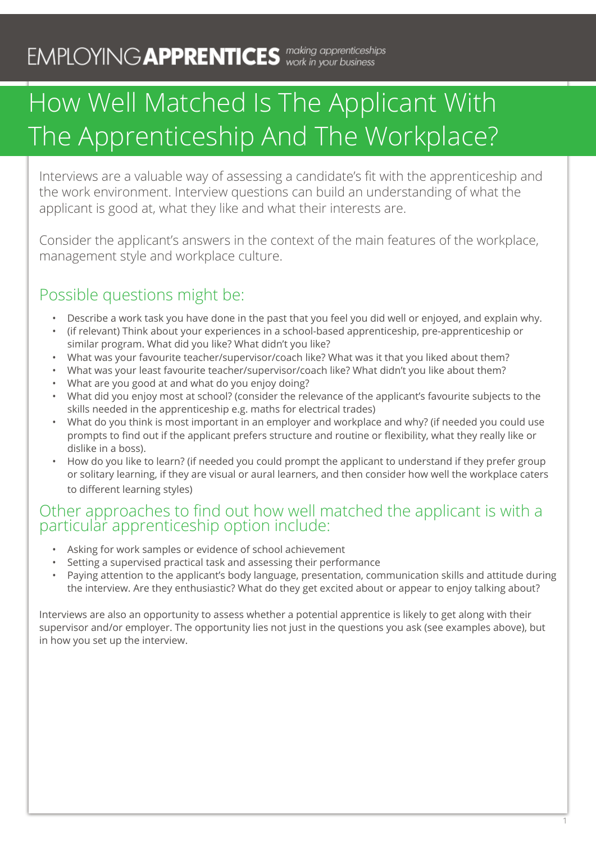# How Well Matched Is The Applicant With The Apprenticeship And The Workplace?

Interviews are a valuable way of assessing a candidate's fit with the apprenticeship and the work environment. Interview questions can build an understanding of what the applicant is good at, what they like and what their interests are.

Consider the applicant's answers in the context of the main features of the workplace, management style and workplace culture.

### Possible questions might be:

- Describe a work task you have done in the past that you feel you did well or enjoyed, and explain why.
- • (if relevant) Think about your experiences in a school-based apprenticeship, pre-apprenticeship or similar program. What did you like? What didn't you like?
- • What was your favourite teacher/supervisor/coach like? What was it that you liked about them?
- • What was your least favourite teacher/supervisor/coach like? What didn't you like about them?
- What are you good at and what do you enjoy doing?
- • What did you enjoy most at school? (consider the relevance of the applicant's favourite subjects to the skills needed in the apprenticeship e.g. maths for electrical trades)
- • What do you think is most important in an employer and workplace and why? (if needed you could use prompts to find out if the applicant prefers structure and routine or flexibility, what they really like or dislike in a boss).
- How do you like to learn? (if needed you could prompt the applicant to understand if they prefer group or solitary learning, if they are visual or aural learners, and then consider how well the workplace caters to different learning styles)

#### Other approaches to find out how well matched the applicant is with a particular apprenticeship option include:

- Asking for work samples or evidence of school achievement
- Setting a supervised practical task and assessing their performance
- Paying attention to the applicant's body language, presentation, communication skills and attitude during the interview. Are they enthusiastic? What do they get excited about or appear to enjoy talking about?

1

Interviews are also an opportunity to assess whether a potential apprentice is likely to get along with their supervisor and/or employer. The opportunity lies not just in the questions you ask (see examples above), but in how you set up the interview.